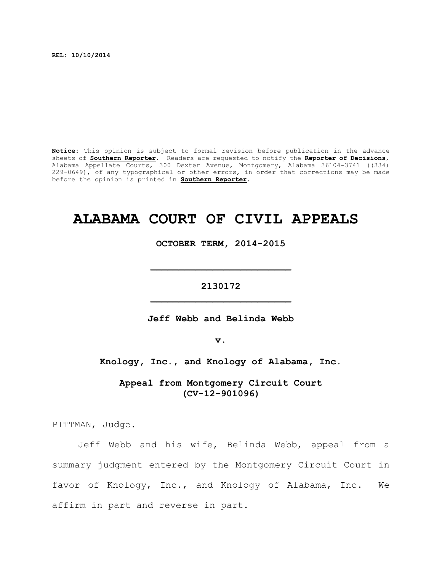**REL: 10/10/2014**

**Notice:** This opinion is subject to formal revision before publication in the advance sheets of **Southern Reporter**. Readers are requested to notify the **Reporter of Decisions**, Alabama Appellate Courts, 300 Dexter Avenue, Montgomery, Alabama 36104-3741 ((334) 229-0649), of any typographical or other errors, in order that corrections may be made before the opinion is printed in **Southern Reporter**.

# **ALABAMA COURT OF CIVIL APPEALS**

**OCTOBER TERM, 2014-2015**

**\_\_\_\_\_\_\_\_\_\_\_\_\_\_\_\_\_\_\_\_\_\_\_\_\_**

**2130172 \_\_\_\_\_\_\_\_\_\_\_\_\_\_\_\_\_\_\_\_\_\_\_\_\_**

**Jeff Webb and Belinda Webb**

**v.**

**Knology, Inc., and Knology of Alabama, Inc.**

**Appeal from Montgomery Circuit Court (CV-12-901096)**

PITTMAN, Judge.

Jeff Webb and his wife, Belinda Webb, appeal from a summary judgment entered by the Montgomery Circuit Court in favor of Knology, Inc., and Knology of Alabama, Inc. We affirm in part and reverse in part.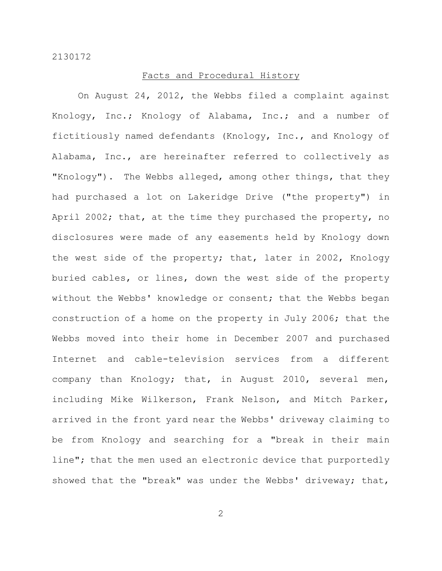#### Facts and Procedural History

On August 24, 2012, the Webbs filed a complaint against Knology, Inc.; Knology of Alabama, Inc.; and a number of fictitiously named defendants (Knology, Inc., and Knology of Alabama, Inc., are hereinafter referred to collectively as "Knology"). The Webbs alleged, among other things, that they had purchased a lot on Lakeridge Drive ("the property") in April 2002; that, at the time they purchased the property, no disclosures were made of any easements held by Knology down the west side of the property; that, later in 2002, Knology buried cables, or lines, down the west side of the property without the Webbs' knowledge or consent; that the Webbs began construction of a home on the property in July 2006; that the Webbs moved into their home in December 2007 and purchased Internet and cable-television services from a different company than Knology; that, in August 2010, several men, including Mike Wilkerson, Frank Nelson, and Mitch Parker, arrived in the front yard near the Webbs' driveway claiming to be from Knology and searching for a "break in their main line"; that the men used an electronic device that purportedly showed that the "break" was under the Webbs' driveway; that,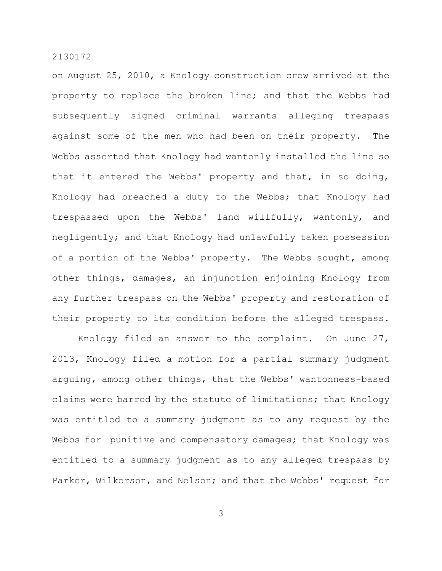on August 25, 2010, a Knology construction crew arrived at the property to replace the broken line; and that the Webbs had subsequently signed criminal warrants alleging trespass against some of the men who had been on their property. The Webbs asserted that Knology had wantonly installed the line so that it entered the Webbs' property and that, in so doing, Knology had breached a duty to the Webbs; that Knology had trespassed upon the Webbs' land willfully, wantonly, and negligently; and that Knology had unlawfully taken possession of a portion of the Webbs' property. The Webbs sought, among other things, damages, an injunction enjoining Knology from any further trespass on the Webbs' property and restoration of their property to its condition before the alleged trespass.

Knology filed an answer to the complaint. On June 27, 2013, Knology filed a motion for a partial summary judgment arguing, among other things, that the Webbs' wantonness-based claims were barred by the statute of limitations; that Knology was entitled to a summary judgment as to any request by the Webbs for punitive and compensatory damages; that Knology was entitled to a summary judgment as to any alleged trespass by Parker, Wilkerson, and Nelson; and that the Webbs' request for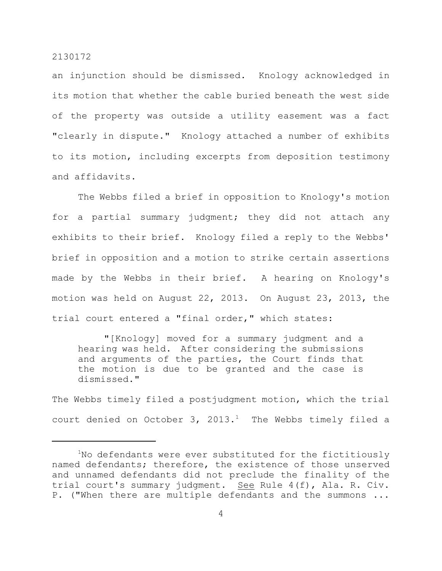an injunction should be dismissed. Knology acknowledged in its motion that whether the cable buried beneath the west side of the property was outside a utility easement was a fact "clearly in dispute." Knology attached a number of exhibits to its motion, including excerpts from deposition testimony and affidavits.

The Webbs filed a brief in opposition to Knology's motion for a partial summary judgment; they did not attach any exhibits to their brief. Knology filed a reply to the Webbs' brief in opposition and a motion to strike certain assertions made by the Webbs in their brief. A hearing on Knology's motion was held on August 22, 2013. On August 23, 2013, the trial court entered a "final order," which states:

"[Knology] moved for a summary judgment and a hearing was held. After considering the submissions and arguments of the parties, the Court finds that the motion is due to be granted and the case is dismissed."

The Webbs timely filed a postjudgment motion, which the trial court denied on October 3, 2013.<sup>1</sup> The Webbs timely filed a

 $1$ No defendants were ever substituted for the fictitiously named defendants; therefore, the existence of those unserved and unnamed defendants did not preclude the finality of the trial court's summary judgment. See Rule 4(f), Ala. R. Civ. P. ("When there are multiple defendants and the summons ...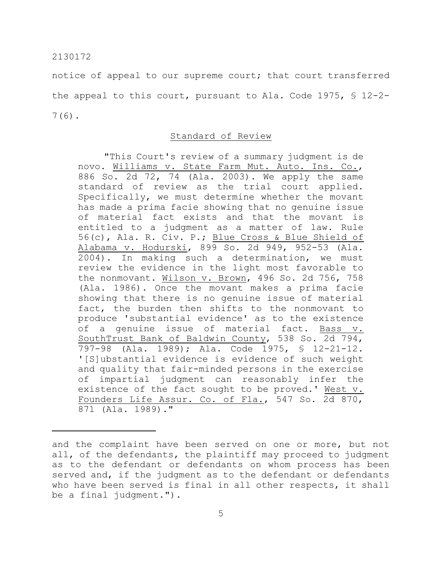notice of appeal to our supreme court; that court transferred the appeal to this court, pursuant to Ala. Code 1975, § 12-2- 7(6).

# Standard of Review

"This Court's review of a summary judgment is de novo. Williams v. State Farm Mut. Auto. Ins. Co., 886 So. 2d 72, 74 (Ala. 2003). We apply the same standard of review as the trial court applied. Specifically, we must determine whether the movant has made a prima facie showing that no genuine issue of material fact exists and that the movant is entitled to a judgment as a matter of law. Rule 56(c), Ala. R. Civ. P.; Blue Cross & Blue Shield of Alabama v. Hodurski, 899 So. 2d 949, 952-53 (Ala. 2004). In making such a determination, we must review the evidence in the light most favorable to the nonmovant. Wilson v. Brown, 496 So. 2d 756, 758 (Ala. 1986). Once the movant makes a prima facie showing that there is no genuine issue of material fact, the burden then shifts to the nonmovant to produce 'substantial evidence' as to the existence of a genuine issue of material fact. Bass v. SouthTrust Bank of Baldwin County, 538 So. 2d 794, 797-98 (Ala. 1989); Ala. Code 1975, § 12-21-12. '[S]ubstantial evidence is evidence of such weight and quality that fair-minded persons in the exercise of impartial judgment can reasonably infer the existence of the fact sought to be proved.' West v. Founders Life Assur. Co. of Fla., 547 So. 2d 870, 871 (Ala. 1989)."

and the complaint have been served on one or more, but not all, of the defendants, the plaintiff may proceed to judgment as to the defendant or defendants on whom process has been served and, if the judgment as to the defendant or defendants who have been served is final in all other respects, it shall be a final judgment.").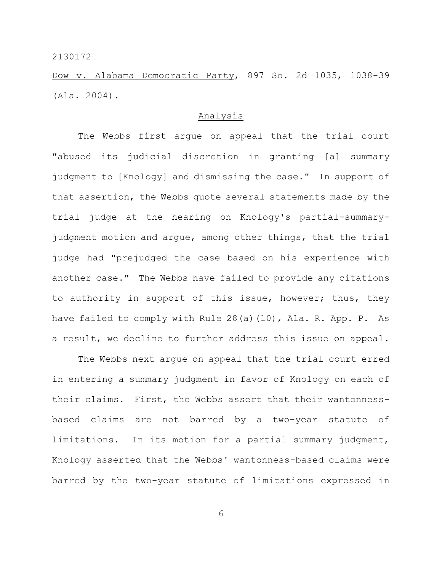Dow v. Alabama Democratic Party, 897 So. 2d 1035, 1038-39 (Ala. 2004).

# Analysis

The Webbs first argue on appeal that the trial court "abused its judicial discretion in granting [a] summary judgment to [Knology] and dismissing the case." In support of that assertion, the Webbs quote several statements made by the trial judge at the hearing on Knology's partial-summaryjudgment motion and argue, among other things, that the trial judge had "prejudged the case based on his experience with another case." The Webbs have failed to provide any citations to authority in support of this issue, however; thus, they have failed to comply with Rule 28(a)(10), Ala. R. App. P. As a result, we decline to further address this issue on appeal.

The Webbs next argue on appeal that the trial court erred in entering a summary judgment in favor of Knology on each of their claims. First, the Webbs assert that their wantonnessbased claims are not barred by a two-year statute of limitations. In its motion for a partial summary judgment, Knology asserted that the Webbs' wantonness-based claims were barred by the two-year statute of limitations expressed in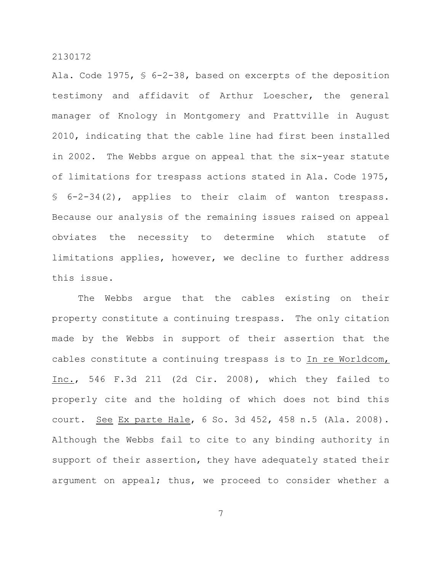Ala. Code 1975, § 6-2-38, based on excerpts of the deposition testimony and affidavit of Arthur Loescher, the general manager of Knology in Montgomery and Prattville in August 2010, indicating that the cable line had first been installed in 2002. The Webbs argue on appeal that the six-year statute of limitations for trespass actions stated in Ala. Code 1975, § 6-2-34(2), applies to their claim of wanton trespass. Because our analysis of the remaining issues raised on appeal obviates the necessity to determine which statute of limitations applies, however, we decline to further address this issue.

The Webbs argue that the cables existing on their property constitute a continuing trespass. The only citation made by the Webbs in support of their assertion that the cables constitute a continuing trespass is to In re Worldcom, Inc., 546 F.3d 211 (2d Cir. 2008), which they failed to properly cite and the holding of which does not bind this court. See Ex parte Hale, 6 So. 3d 452, 458 n.5 (Ala. 2008). Although the Webbs fail to cite to any binding authority in support of their assertion, they have adequately stated their argument on appeal; thus, we proceed to consider whether a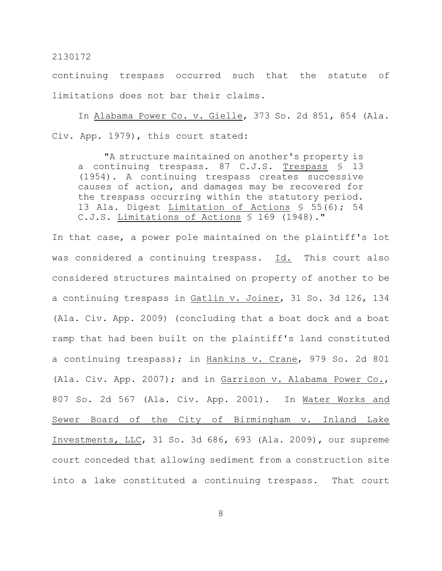continuing trespass occurred such that the statute of limitations does not bar their claims.

In Alabama Power Co. v. Gielle, 373 So. 2d 851, 854 (Ala. Civ. App. 1979), this court stated:

"A structure maintained on another's property is a continuing trespass. 87 C.J.S. Trespass § 13 (1954). A continuing trespass creates successive causes of action, and damages may be recovered for the trespass occurring within the statutory period. 13 Ala. Digest Limitation of Actions § 55(6); 54 C.J.S. Limitations of Actions § 169 (1948)."

In that case, a power pole maintained on the plaintiff's lot was considered a continuing trespass. Id. This court also considered structures maintained on property of another to be a continuing trespass in Gatlin v. Joiner, 31 So. 3d 126, 134 (Ala. Civ. App. 2009) (concluding that a boat dock and a boat ramp that had been built on the plaintiff's land constituted a continuing trespass); in Hankins v. Crane, 979 So. 2d 801 (Ala. Civ. App. 2007); and in Garrison v. Alabama Power Co., 807 So. 2d 567 (Ala. Civ. App. 2001). In Water Works and Sewer Board of the City of Birmingham v. Inland Lake Investments, LLC, 31 So. 3d 686, 693 (Ala. 2009), our supreme court conceded that allowing sediment from a construction site into a lake constituted a continuing trespass. That court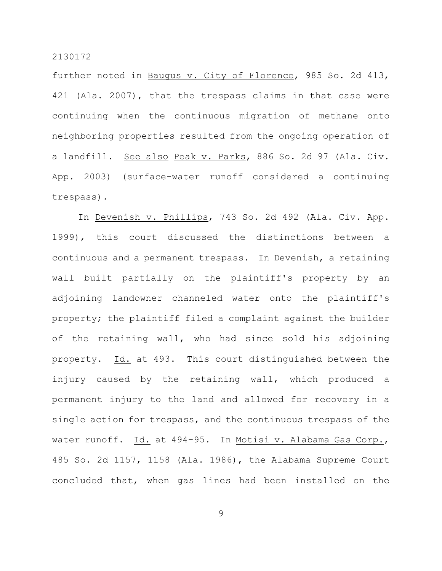further noted in Baugus v. City of Florence, 985 So. 2d 413, 421 (Ala. 2007), that the trespass claims in that case were continuing when the continuous migration of methane onto neighboring properties resulted from the ongoing operation of a landfill. See also Peak v. Parks, 886 So. 2d 97 (Ala. Civ. App. 2003) (surface-water runoff considered a continuing trespass).

In Devenish v. Phillips, 743 So. 2d 492 (Ala. Civ. App. 1999), this court discussed the distinctions between a continuous and a permanent trespass. In Devenish, a retaining wall built partially on the plaintiff's property by an adjoining landowner channeled water onto the plaintiff's property; the plaintiff filed a complaint against the builder of the retaining wall, who had since sold his adjoining property. Id. at 493. This court distinguished between the injury caused by the retaining wall, which produced a permanent injury to the land and allowed for recovery in a single action for trespass, and the continuous trespass of the water runoff. Id. at 494-95. In Motisi v. Alabama Gas Corp., 485 So. 2d 1157, 1158 (Ala. 1986), the Alabama Supreme Court concluded that, when gas lines had been installed on the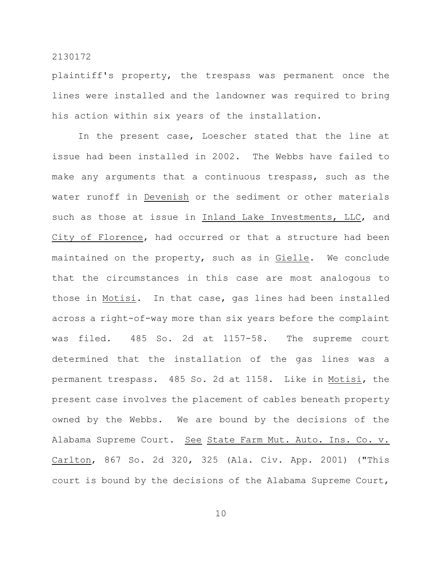plaintiff's property, the trespass was permanent once the lines were installed and the landowner was required to bring his action within six years of the installation.

In the present case, Loescher stated that the line at issue had been installed in 2002. The Webbs have failed to make any arguments that a continuous trespass, such as the water runoff in Devenish or the sediment or other materials such as those at issue in Inland Lake Investments, LLC, and City of Florence, had occurred or that a structure had been maintained on the property, such as in Gielle. We conclude that the circumstances in this case are most analogous to those in Motisi. In that case, gas lines had been installed across a right-of-way more than six years before the complaint was filed. 485 So. 2d at 1157-58. The supreme court determined that the installation of the gas lines was a permanent trespass. 485 So. 2d at 1158. Like in Motisi, the present case involves the placement of cables beneath property owned by the Webbs. We are bound by the decisions of the Alabama Supreme Court. See State Farm Mut. Auto. Ins. Co. v. Carlton, 867 So. 2d 320, 325 (Ala. Civ. App. 2001) ("This court is bound by the decisions of the Alabama Supreme Court,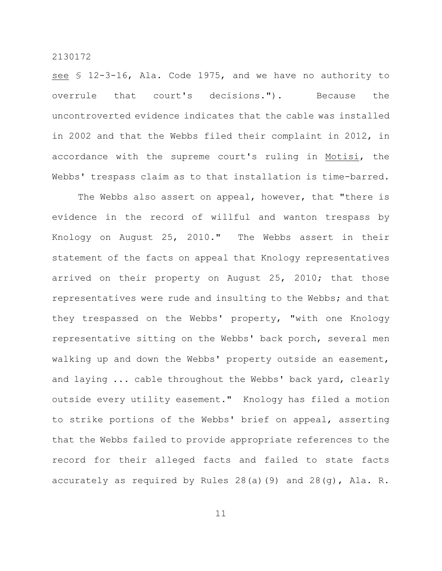see § 12-3-16, Ala. Code 1975, and we have no authority to overrule that court's decisions."). Because the uncontroverted evidence indicates that the cable was installed in 2002 and that the Webbs filed their complaint in 2012, in accordance with the supreme court's ruling in Motisi, the Webbs' trespass claim as to that installation is time-barred.

The Webbs also assert on appeal, however, that "there is evidence in the record of willful and wanton trespass by Knology on August 25, 2010." The Webbs assert in their statement of the facts on appeal that Knology representatives arrived on their property on August 25, 2010; that those representatives were rude and insulting to the Webbs; and that they trespassed on the Webbs' property, "with one Knology representative sitting on the Webbs' back porch, several men walking up and down the Webbs' property outside an easement, and laying ... cable throughout the Webbs' back yard, clearly outside every utility easement." Knology has filed a motion to strike portions of the Webbs' brief on appeal, asserting that the Webbs failed to provide appropriate references to the record for their alleged facts and failed to state facts accurately as required by Rules 28(a)(9) and 28(g), Ala. R.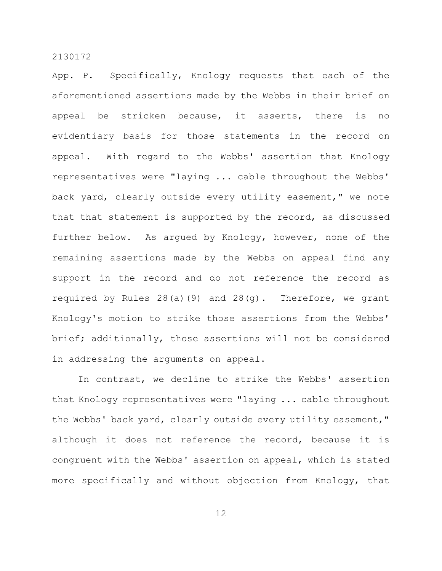App. P. Specifically, Knology requests that each of the aforementioned assertions made by the Webbs in their brief on appeal be stricken because, it asserts, there is no evidentiary basis for those statements in the record on appeal. With regard to the Webbs' assertion that Knology representatives were "laying ... cable throughout the Webbs' back yard, clearly outside every utility easement," we note that that statement is supported by the record, as discussed further below. As argued by Knology, however, none of the remaining assertions made by the Webbs on appeal find any support in the record and do not reference the record as required by Rules 28(a)(9) and 28(g). Therefore, we grant Knology's motion to strike those assertions from the Webbs' brief; additionally, those assertions will not be considered in addressing the arguments on appeal.

In contrast, we decline to strike the Webbs' assertion that Knology representatives were "laying ... cable throughout the Webbs' back yard, clearly outside every utility easement," although it does not reference the record, because it is congruent with the Webbs' assertion on appeal, which is stated more specifically and without objection from Knology, that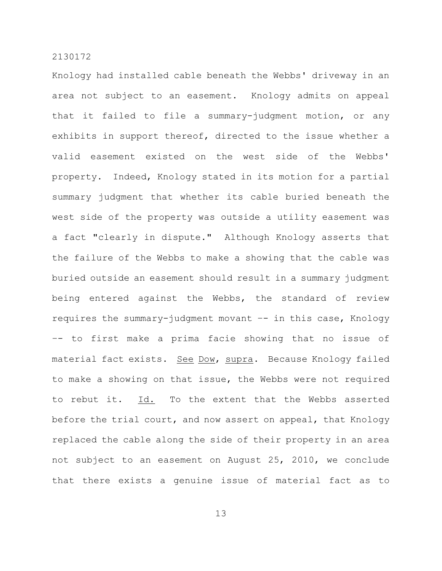Knology had installed cable beneath the Webbs' driveway in an area not subject to an easement. Knology admits on appeal that it failed to file a summary-judgment motion, or any exhibits in support thereof, directed to the issue whether a valid easement existed on the west side of the Webbs' property. Indeed, Knology stated in its motion for a partial summary judgment that whether its cable buried beneath the west side of the property was outside a utility easement was a fact "clearly in dispute." Although Knology asserts that the failure of the Webbs to make a showing that the cable was buried outside an easement should result in a summary judgment being entered against the Webbs, the standard of review requires the summary-judgment movant –- in this case, Knology –- to first make a prima facie showing that no issue of material fact exists. See Dow, supra. Because Knology failed to make a showing on that issue, the Webbs were not required to rebut it. Id. To the extent that the Webbs asserted before the trial court, and now assert on appeal, that Knology replaced the cable along the side of their property in an area not subject to an easement on August 25, 2010, we conclude that there exists a genuine issue of material fact as to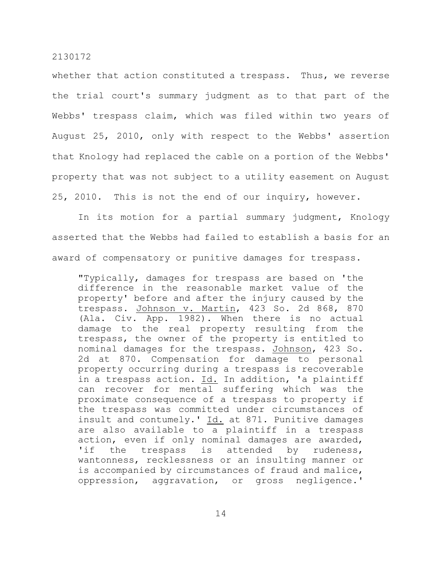whether that action constituted a trespass. Thus, we reverse the trial court's summary judgment as to that part of the Webbs' trespass claim, which was filed within two years of August 25, 2010, only with respect to the Webbs' assertion that Knology had replaced the cable on a portion of the Webbs' property that was not subject to a utility easement on August 25, 2010. This is not the end of our inquiry, however.

In its motion for a partial summary judgment, Knology asserted that the Webbs had failed to establish a basis for an award of compensatory or punitive damages for trespass.

"Typically, damages for trespass are based on 'the difference in the reasonable market value of the property' before and after the injury caused by the trespass. Johnson v. Martin, 423 So. 2d 868, 870 (Ala. Civ. App. 1982). When there is no actual damage to the real property resulting from the trespass, the owner of the property is entitled to nominal damages for the trespass. Johnson, 423 So. 2d at 870. Compensation for damage to personal property occurring during a trespass is recoverable in a trespass action. Id. In addition, 'a plaintiff can recover for mental suffering which was the proximate consequence of a trespass to property if the trespass was committed under circumstances of insult and contumely.' Id. at 871. Punitive damages are also available to a plaintiff in a trespass action, even if only nominal damages are awarded, 'if the trespass is attended by rudeness, wantonness, recklessness or an insulting manner or is accompanied by circumstances of fraud and malice, oppression, aggravation, or gross negligence.'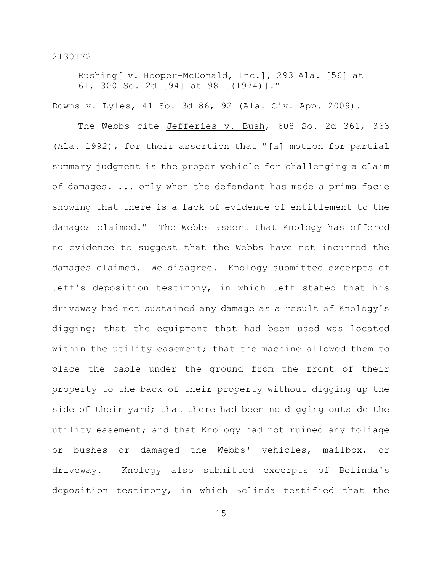Rushing[ v. Hooper-McDonald, Inc.], 293 Ala. [56] at 61, 300 So. 2d [94] at 98 [(1974)]."

Downs v. Lyles, 41 So. 3d 86, 92 (Ala. Civ. App. 2009).

The Webbs cite Jefferies v. Bush, 608 So. 2d 361, 363 (Ala. 1992), for their assertion that "[a] motion for partial summary judgment is the proper vehicle for challenging a claim of damages. ... only when the defendant has made a prima facie showing that there is a lack of evidence of entitlement to the damages claimed." The Webbs assert that Knology has offered no evidence to suggest that the Webbs have not incurred the damages claimed. We disagree. Knology submitted excerpts of Jeff's deposition testimony, in which Jeff stated that his driveway had not sustained any damage as a result of Knology's digging; that the equipment that had been used was located within the utility easement; that the machine allowed them to place the cable under the ground from the front of their property to the back of their property without digging up the side of their yard; that there had been no digging outside the utility easement; and that Knology had not ruined any foliage or bushes or damaged the Webbs' vehicles, mailbox, or driveway. Knology also submitted excerpts of Belinda's deposition testimony, in which Belinda testified that the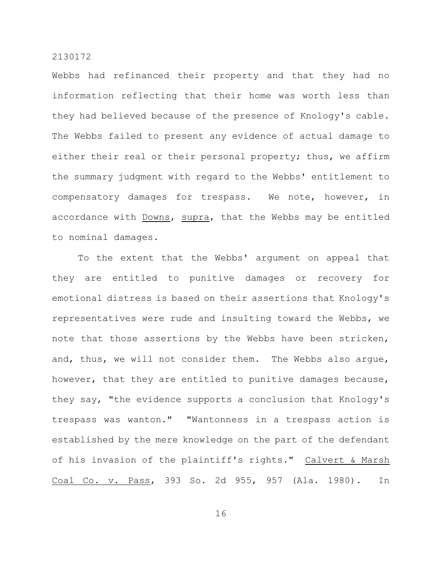Webbs had refinanced their property and that they had no information reflecting that their home was worth less than they had believed because of the presence of Knology's cable. The Webbs failed to present any evidence of actual damage to either their real or their personal property; thus, we affirm the summary judgment with regard to the Webbs' entitlement to compensatory damages for trespass. We note, however, in accordance with Downs, supra, that the Webbs may be entitled to nominal damages.

To the extent that the Webbs' argument on appeal that they are entitled to punitive damages or recovery for emotional distress is based on their assertions that Knology's representatives were rude and insulting toward the Webbs, we note that those assertions by the Webbs have been stricken, and, thus, we will not consider them. The Webbs also argue, however, that they are entitled to punitive damages because, they say, "the evidence supports a conclusion that Knology's trespass was wanton." "Wantonness in a trespass action is established by the mere knowledge on the part of the defendant of his invasion of the plaintiff's rights." Calvert & Marsh Coal Co. v. Pass, 393 So. 2d 955, 957 (Ala. 1980). In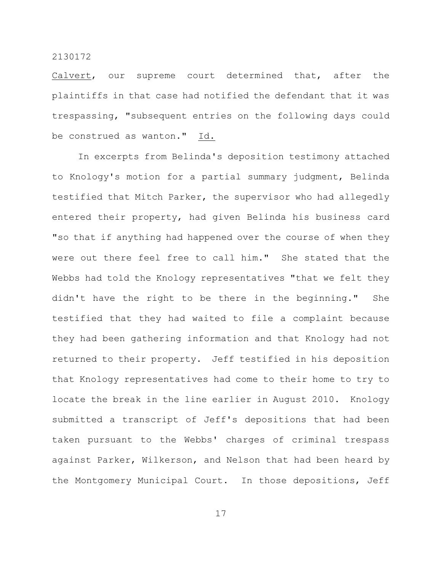Calvert, our supreme court determined that, after the plaintiffs in that case had notified the defendant that it was trespassing, "subsequent entries on the following days could be construed as wanton." Id.

In excerpts from Belinda's deposition testimony attached to Knology's motion for a partial summary judgment, Belinda testified that Mitch Parker, the supervisor who had allegedly entered their property, had given Belinda his business card "so that if anything had happened over the course of when they were out there feel free to call him." She stated that the Webbs had told the Knology representatives "that we felt they didn't have the right to be there in the beginning." She testified that they had waited to file a complaint because they had been gathering information and that Knology had not returned to their property. Jeff testified in his deposition that Knology representatives had come to their home to try to locate the break in the line earlier in August 2010. Knology submitted a transcript of Jeff's depositions that had been taken pursuant to the Webbs' charges of criminal trespass against Parker, Wilkerson, and Nelson that had been heard by the Montgomery Municipal Court. In those depositions, Jeff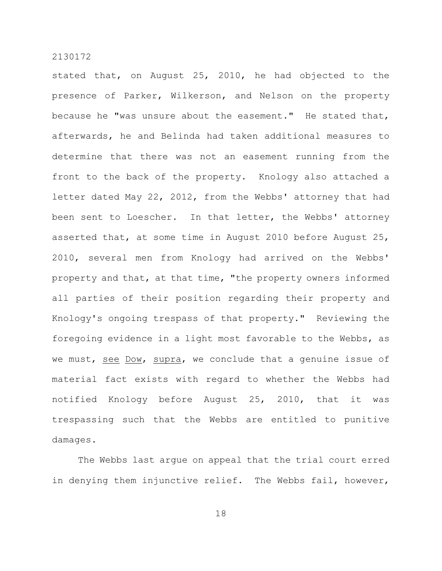stated that, on August 25, 2010, he had objected to the presence of Parker, Wilkerson, and Nelson on the property because he "was unsure about the easement." He stated that, afterwards, he and Belinda had taken additional measures to determine that there was not an easement running from the front to the back of the property. Knology also attached a letter dated May 22, 2012, from the Webbs' attorney that had been sent to Loescher. In that letter, the Webbs' attorney asserted that, at some time in August 2010 before August 25, 2010, several men from Knology had arrived on the Webbs' property and that, at that time, "the property owners informed all parties of their position regarding their property and Knology's ongoing trespass of that property." Reviewing the foregoing evidence in a light most favorable to the Webbs, as we must, see Dow, supra, we conclude that a genuine issue of material fact exists with regard to whether the Webbs had notified Knology before August 25, 2010, that it was trespassing such that the Webbs are entitled to punitive damages.

The Webbs last argue on appeal that the trial court erred in denying them injunctive relief. The Webbs fail, however,